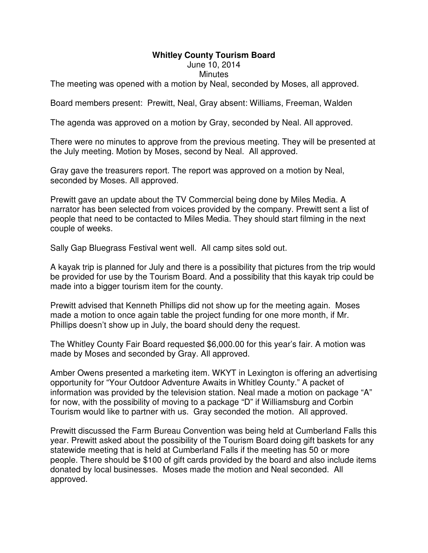## **Whitley County Tourism Board**

June 10, 2014

## **Minutes**

The meeting was opened with a motion by Neal, seconded by Moses, all approved.

Board members present: Prewitt, Neal, Gray absent: Williams, Freeman, Walden

The agenda was approved on a motion by Gray, seconded by Neal. All approved.

There were no minutes to approve from the previous meeting. They will be presented at the July meeting. Motion by Moses, second by Neal. All approved.

Gray gave the treasurers report. The report was approved on a motion by Neal, seconded by Moses. All approved.

Prewitt gave an update about the TV Commercial being done by Miles Media. A narrator has been selected from voices provided by the company. Prewitt sent a list of people that need to be contacted to Miles Media. They should start filming in the next couple of weeks.

Sally Gap Bluegrass Festival went well. All camp sites sold out.

A kayak trip is planned for July and there is a possibility that pictures from the trip would be provided for use by the Tourism Board. And a possibility that this kayak trip could be made into a bigger tourism item for the county.

Prewitt advised that Kenneth Phillips did not show up for the meeting again. Moses made a motion to once again table the project funding for one more month, if Mr. Phillips doesn't show up in July, the board should deny the request.

The Whitley County Fair Board requested \$6,000.00 for this year's fair. A motion was made by Moses and seconded by Gray. All approved.

Amber Owens presented a marketing item. WKYT in Lexington is offering an advertising opportunity for "Your Outdoor Adventure Awaits in Whitley County." A packet of information was provided by the television station. Neal made a motion on package "A" for now, with the possibility of moving to a package "D" if Williamsburg and Corbin Tourism would like to partner with us. Gray seconded the motion. All approved.

Prewitt discussed the Farm Bureau Convention was being held at Cumberland Falls this year. Prewitt asked about the possibility of the Tourism Board doing gift baskets for any statewide meeting that is held at Cumberland Falls if the meeting has 50 or more people. There should be \$100 of gift cards provided by the board and also include items donated by local businesses. Moses made the motion and Neal seconded. All approved.